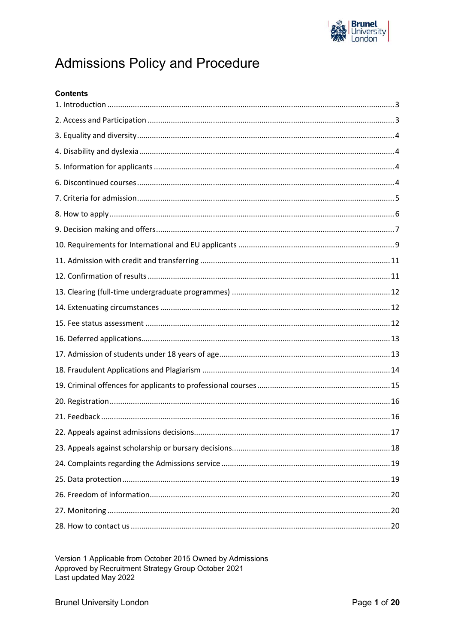

# **Admissions Policy and Procedure**

| <b>Contents</b> |
|-----------------|
|                 |
|                 |
|                 |
|                 |
|                 |
|                 |
|                 |
|                 |
|                 |
|                 |
|                 |
|                 |
|                 |
|                 |
|                 |
|                 |
|                 |
|                 |
|                 |
|                 |
|                 |
|                 |
|                 |
|                 |
|                 |
|                 |
|                 |
|                 |

Version 1 Applicable from October 2015 Owned by Admissions Approved by Recruitment Strategy Group October 2021 Last updated May 2022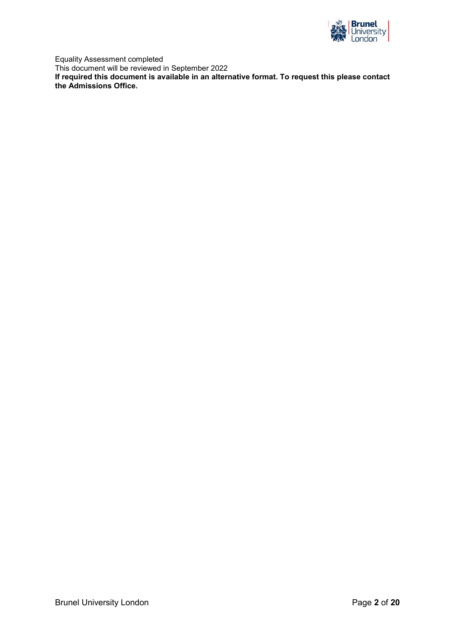

Equality Assessment completed This document will be reviewed in September 2022 **If required this document is available in an alternative format. To request this please contact the Admissions Office.**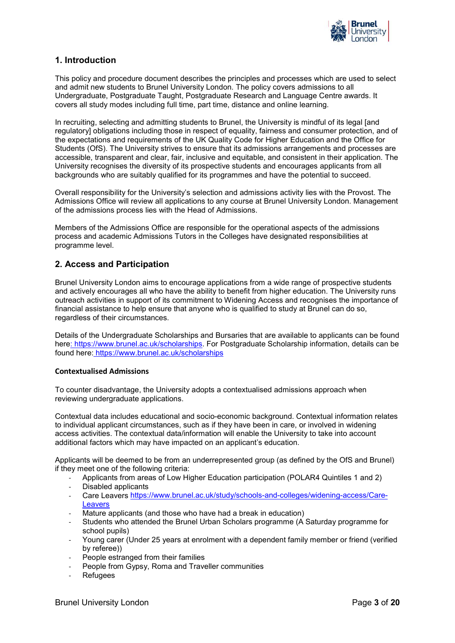

# <span id="page-2-0"></span>**1. Introduction**

This policy and procedure document describes the principles and processes which are used to select and admit new students to Brunel University London. The policy covers admissions to all Undergraduate, Postgraduate Taught, Postgraduate Research and Language Centre awards. It covers all study modes including full time, part time, distance and online learning.

In recruiting, selecting and admitting students to Brunel, the University is mindful of its legal [and regulatory] obligations including those in respect of equality, fairness and consumer protection, and of the expectations and requirements of the UK Quality Code for Higher Education and the Office for Students (OfS). The University strives to ensure that its admissions arrangements and processes are accessible, transparent and clear, fair, inclusive and equitable, and consistent in their application. The University recognises the diversity of its prospective students and encourages applicants from all backgrounds who are suitably qualified for its programmes and have the potential to succeed.

Overall responsibility for the University's selection and admissions activity lies with the Provost. The Admissions Office will review all applications to any course at Brunel University London. Management of the admissions process lies with the Head of Admissions.

Members of the Admissions Office are responsible for the operational aspects of the admissions process and academic Admissions Tutors in the Colleges have designated responsibilities at programme level.

# <span id="page-2-1"></span>**2. Access and Participation**

Brunel University London aims to encourage applications from a wide range of prospective students and actively encourages all who have the ability to benefit from higher education. The University runs outreach activities in support of its commitment to Widening Access and recognises the importance of financial assistance to help ensure that anyone who is qualified to study at Brunel can do so, regardless of their circumstances.

Details of the Undergraduate Scholarships and Bursaries that are available to applicants can be found here: https://www.brunel.ac.uk/scholarships. For Postgraduate Scholarship information, details can be found here: https://www.brunel.ac.uk/scholarships

#### **Contextualised Admissions**

To counter disadvantage, the University adopts a contextualised admissions approach when reviewing undergraduate applications.

Contextual data includes educational and socio-economic background. Contextual information relates to individual applicant circumstances, such as if they have been in care, or involved in widening access activities. The contextual data/information will enable the University to take into account additional factors which may have impacted on an applicant's education.

Applicants will be deemed to be from an underrepresented group (as defined by the OfS and Brunel) if they meet one of the following criteria:

- Applicants from areas of Low Higher Education participation (POLAR4 Quintiles 1 and 2)
- Disabled applicants
- Care Leavers [https://www.brunel.ac.uk/study/schools-and-colleges/widening-access/Care-](https://www.brunel.ac.uk/study/schools-and-colleges/widening-access/Care-Leavers)[Leavers](https://www.brunel.ac.uk/study/schools-and-colleges/widening-access/Care-Leavers)
- Mature applicants (and those who have had a break in education)
- Students who attended the Brunel Urban Scholars programme (A Saturday programme for school pupils)
- Young carer (Under 25 years at enrolment with a dependent family member or friend (verified by referee))
- People estranged from their families
- People from Gypsy, Roma and Traveller communities
- **Refugees**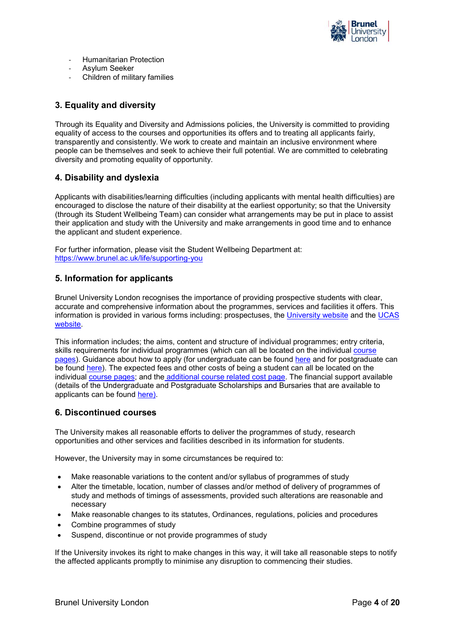

- Humanitarian Protection
- Asylum Seeker
- Children of military families

# <span id="page-3-0"></span>**3. Equality and diversity**

Through its Equality and Diversity and Admissions policies, the University is committed to providing equality of access to the courses and opportunities its offers and to treating all applicants fairly, transparently and consistently. We work to create and maintain an inclusive environment where people can be themselves and seek to achieve their full potential. We are committed to celebrating diversity and promoting equality of opportunity.

# <span id="page-3-1"></span>**4. Disability and dyslexia**

Applicants with disabilities/learning difficulties (including applicants with mental health difficulties) are encouraged to disclose the nature of their disability at the earliest opportunity; so that the University (through its Student Wellbeing Team) can consider what arrangements may be put in place to assist their application and study with the University and make arrangements in good time and to enhance the applicant and student experience.

For further information, please visit the Student Wellbeing Department at: https://www.brunel.ac.uk/life/supporting-you

# <span id="page-3-2"></span>**5. Information for applicants**

Brunel University London recognises the importance of providing prospective students with clear, accurate and comprehensive information about the programmes, services and facilities it offers. This information is provided in various forms including: prospectuses, the [University website](http://www.brunel.ac.uk/) and the [UCAS](http://www.ucas.com/) [website.](http://www.ucas.com/)

This information includes; the aims, content and structure of individual programmes; entry criteria, skills requirements for individual programmes (which can all be located on the individual course [pages\)](https://www.brunel.ac.uk/study/Course-listing). Guidance about how to apply (for undergraduate can be found [here](https://www.brunel.ac.uk/study/applicants/undergraduate-courses-how-to-apply) and for postgraduate can be found [here\)](https://www.brunel.ac.uk/study/applicants/postgraduate-courses-how-to-apply). The expected fees and other costs of being a student can all be located on the individual [course pages;](https://www.brunel.ac.uk/study/Course-listing) and the [additional course related cost page.](https://www.brunel.ac.uk/study/admissions/additional-costs) The financial support available (details of the Undergraduate and Postgraduate Scholarships and Bursaries that are available to applicants can be found [here\)](https://www.brunel.ac.uk/scholarships).

# <span id="page-3-3"></span>**6. Discontinued courses**

The University makes all reasonable efforts to deliver the programmes of study, research opportunities and other services and facilities described in its information for students.

However, the University may in some circumstances be required to:

- Make reasonable variations to the content and/or syllabus of programmes of study
- Alter the timetable, location, number of classes and/or method of delivery of programmes of study and methods of timings of assessments, provided such alterations are reasonable and necessary
- Make reasonable changes to its statutes, Ordinances, regulations, policies and procedures
- Combine programmes of study
- Suspend, discontinue or not provide programmes of study

If the University invokes its right to make changes in this way, it will take all reasonable steps to notify the affected applicants promptly to minimise any disruption to commencing their studies.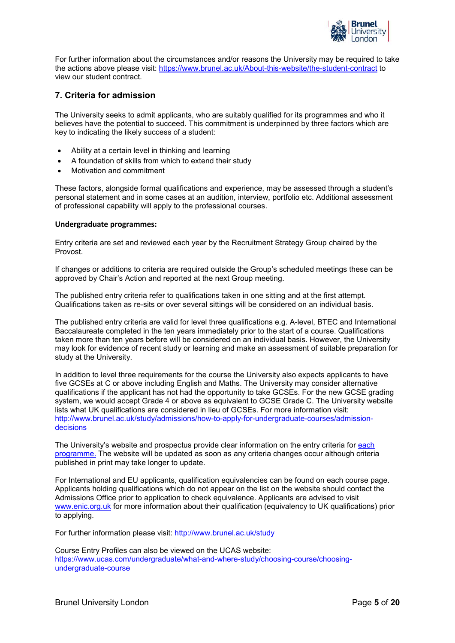

For further information about the circumstances and/or reasons the University may be required to take the actions above please visit:<https://www.brunel.ac.uk/About-this-website/the-student-contract> to view our student contract.

# <span id="page-4-0"></span>**7. Criteria for admission**

The University seeks to admit applicants, who are suitably qualified for its programmes and who it believes have the potential to succeed. This commitment is underpinned by three factors which are key to indicating the likely success of a student:

- Ability at a certain level in thinking and learning
- A foundation of skills from which to extend their study
- Motivation and commitment

These factors, alongside formal qualifications and experience, may be assessed through a student's personal statement and in some cases at an audition, interview, portfolio etc. Additional assessment of professional capability will apply to the professional courses.

#### **Undergraduate programmes:**

Entry criteria are set and reviewed each year by the Recruitment Strategy Group chaired by the Provost.

If changes or additions to criteria are required outside the Group's scheduled meetings these can be approved by Chair's Action and reported at the next Group meeting.

The published entry criteria refer to qualifications taken in one sitting and at the first attempt. Qualifications taken as re-sits or over several sittings will be considered on an individual basis.

The published entry criteria are valid for level three qualifications e.g. A-level, BTEC and International Baccalaureate completed in the ten years immediately prior to the start of a course. Qualifications taken more than ten years before will be considered on an individual basis. However, the University may look for evidence of recent study or learning and make an assessment of suitable preparation for study at the University.

In addition to level three requirements for the course the University also expects applicants to have five GCSEs at C or above including English and Maths. The University may consider alternative qualifications if the applicant has not had the opportunity to take GCSEs. For the new GCSE grading system, we would accept Grade 4 or above as equivalent to GCSE Grade C. The University website lists what UK qualifications are considered in lieu of GCSEs. For more information visit: http://www.brunel.ac.uk/study/admissions/how-to-apply-for-undergraduate-courses/admissiondecisions

The University's website and prospectus provide clear information on the entry criteria for each [programme.](https://www.brunel.ac.uk/study/Course-listing) The website will be updated as soon as any criteria changes occur although criteria published in print may take longer to update.

For International and EU applicants, qualification equivalencies can be found on each course page. Applicants holding qualifications which do not appear on the list on the website should contact the Admissions Office prior to application to check equivalence. Applicants are advised to visit [www.enic.org.uk](http://www.enic.org.uk/) for more information about their qualification (equivalency to UK qualifications) prior to applying.

For further information please visit: http://www.brunel.ac.uk/study

Course Entry Profiles can also be viewed on the UCAS website: https://www.ucas.com/undergraduate/what-and-where-study/choosing-course/choosingundergraduate-course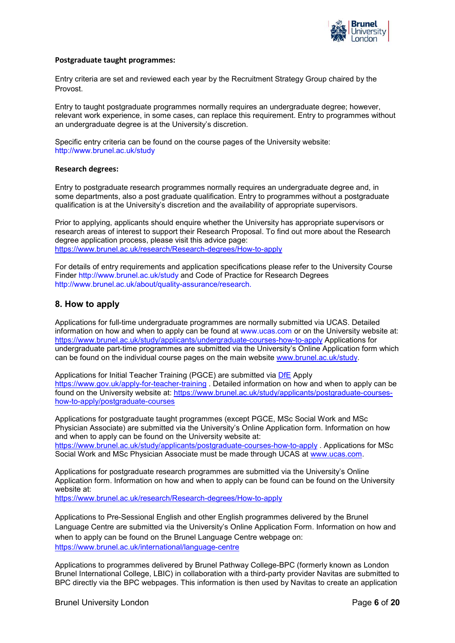

#### **Postgraduate taught programmes:**

Entry criteria are set and reviewed each year by the Recruitment Strategy Group chaired by the Provost.

Entry to taught postgraduate programmes normally requires an undergraduate degree; however, relevant work experience, in some cases, can replace this requirement. Entry to programmes without an undergraduate degree is at the University's discretion.

Specific entry criteria can be found on the course pages of the University website: http://www.brunel.ac.uk/study

## **Research degrees:**

Entry to postgraduate research programmes normally requires an undergraduate degree and, in some departments, also a post graduate qualification. Entry to programmes without a postgraduate qualification is at the University's discretion and the availability of appropriate supervisors.

Prior to applying, applicants should enquire whether the University has appropriate supervisors or research areas of interest to support their Research Proposal. To find out more about the Research degree application process, please visit this advice page: <https://www.brunel.ac.uk/research/Research-degrees/How-to-apply>

For details of entry requirements and application specifications please refer to the University Course Finder http://www.brunel.ac.uk/study and Code of Practice for Research Degrees http://www.brunel.ac.uk/about/quality-assurance/research.

## <span id="page-5-0"></span>**8. How to apply**

Applications for full-time undergraduate programmes are normally submitted via UCAS. Detailed information on how and when to apply can be found at www.ucas.com or on the University website at: <https://www.brunel.ac.uk/study/applicants/undergraduate-courses-how-to-apply> Applications for undergraduate part-time programmes are submitted via the University's Online Application form which can be found on the individual course pages on the main website [www.brunel.ac.uk/study.](http://www.brunel.ac.uk/study)

Applications for Initial Teacher Training (PGCE) are submitted via [DfE](https://www.gov.uk/apply-for-teacher-training) Apply <https://www.gov.uk/apply-for-teacher-training> . Detailed information on how and when to apply can be found on the University website at: [https://www.brunel.ac.uk/study/applicants/postgraduate-courses](https://www.brunel.ac.uk/study/applicants/postgraduate-courses-how-to-apply/postgraduate-courses)[how-to-apply/postgraduate-courses](https://www.brunel.ac.uk/study/applicants/postgraduate-courses-how-to-apply/postgraduate-courses)

Applications for postgraduate taught programmes (except PGCE, MSc Social Work and MSc Physician Associate) are submitted via the University's Online Application form. Information on how and when to apply can be found on the University website at: <https://www.brunel.ac.uk/study/applicants/postgraduate-courses-how-to-apply> . Applications for MSc Social Work and MSc Physician Associate must be made through UCAS at [www.ucas.com.](http://www.ucas.com/)

Applications for postgraduate research programmes are submitted via the University's Online Application form. Information on how and when to apply can be found can be found on the University website at:

<https://www.brunel.ac.uk/research/Research-degrees/How-to-apply>

Applications to Pre-Sessional English and other English programmes delivered by the Brunel Language Centre are submitted via the University's Online Application Form. Information on how and when to apply can be found on the Brunel Language Centre webpage on: <https://www.brunel.ac.uk/international/language-centre>

Applications to programmes delivered by Brunel Pathway College-BPC (formerly known as London Brunel International College, LBIC) in collaboration with a third-party provider Navitas are submitted to BPC directly via the BPC webpages. This information is then used by Navitas to create an application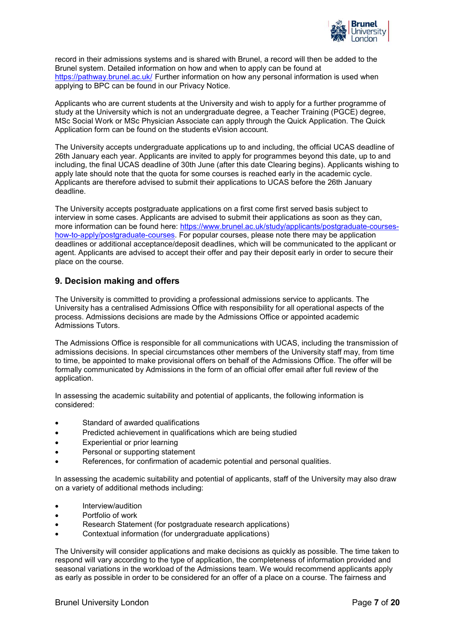

record in their admissions systems and is shared with Brunel, a record will then be added to the Brunel system. Detailed information on how and when to apply can be found at <https://pathway.brunel.ac.uk/> Further information on how any personal information is used when applying to BPC can be found in our Privacy Notice.

Applicants who are current students at the University and wish to apply for a further programme of study at the University which is not an undergraduate degree, a Teacher Training (PGCE) degree, MSc Social Work or MSc Physician Associate can apply through the Quick Application. The Quick Application form can be found on the students eVision account.

The University accepts undergraduate applications up to and including, the official UCAS deadline of 26th January each year. Applicants are invited to apply for programmes beyond this date, up to and including, the final UCAS deadline of 30th June (after this date Clearing begins). Applicants wishing to apply late should note that the quota for some courses is reached early in the academic cycle. Applicants are therefore advised to submit their applications to UCAS before the 26th January deadline.

The University accepts postgraduate applications on a first come first served basis subject to interview in some cases. Applicants are advised to submit their applications as soon as they can, more information can be found here: https://www.brunel.ac.uk/study/applicants/postgraduate-courseshow-to-apply/postgraduate-courses. For popular courses, please note there may be application deadlines or additional acceptance/deposit deadlines, which will be communicated to the applicant or agent. Applicants are advised to accept their offer and pay their deposit early in order to secure their place on the course.

## <span id="page-6-0"></span>**9. Decision making and offers**

The University is committed to providing a professional admissions service to applicants. The University has a centralised Admissions Office with responsibility for all operational aspects of the process. Admissions decisions are made by the Admissions Office or appointed academic Admissions Tutors.

The Admissions Office is responsible for all communications with UCAS, including the transmission of admissions decisions. In special circumstances other members of the University staff may, from time to time, be appointed to make provisional offers on behalf of the Admissions Office. The offer will be formally communicated by Admissions in the form of an official offer email after full review of the application.

In assessing the academic suitability and potential of applicants, the following information is considered:

- Standard of awarded qualifications
- Predicted achievement in qualifications which are being studied
- Experiential or prior learning
- Personal or supporting statement
- References, for confirmation of academic potential and personal qualities.

In assessing the academic suitability and potential of applicants, staff of the University may also draw on a variety of additional methods including:

- Interview/audition
- Portfolio of work
- Research Statement (for postgraduate research applications)
- Contextual information (for undergraduate applications)

The University will consider applications and make decisions as quickly as possible. The time taken to respond will vary according to the type of application, the completeness of information provided and seasonal variations in the workload of the Admissions team. We would recommend applicants apply as early as possible in order to be considered for an offer of a place on a course. The fairness and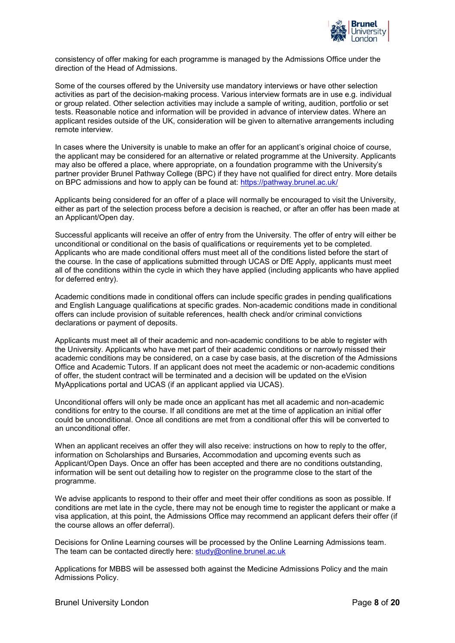

consistency of offer making for each programme is managed by the Admissions Office under the direction of the Head of Admissions.

Some of the courses offered by the University use mandatory interviews or have other selection activities as part of the decision-making process. Various interview formats are in use e.g. individual or group related. Other selection activities may include a sample of writing, audition, portfolio or set tests. Reasonable notice and information will be provided in advance of interview dates. Where an applicant resides outside of the UK, consideration will be given to alternative arrangements including remote interview.

In cases where the University is unable to make an offer for an applicant's original choice of course, the applicant may be considered for an alternative or related programme at the University. Applicants may also be offered a place, where appropriate, on a foundation programme with the University's partner provider Brunel Pathway College (BPC) if they have not qualified for direct entry. More details on BPC admissions and how to apply can be found at:<https://pathway.brunel.ac.uk/>

Applicants being considered for an offer of a place will normally be encouraged to visit the University, either as part of the selection process before a decision is reached, or after an offer has been made at an Applicant/Open day.

Successful applicants will receive an offer of entry from the University. The offer of entry will either be unconditional or conditional on the basis of qualifications or requirements yet to be completed. Applicants who are made conditional offers must meet all of the conditions listed before the start of the course. In the case of applications submitted through UCAS or DfE Apply, applicants must meet all of the conditions within the cycle in which they have applied (including applicants who have applied for deferred entry).

Academic conditions made in conditional offers can include specific grades in pending qualifications and English Language qualifications at specific grades. Non-academic conditions made in conditional offers can include provision of suitable references, health check and/or criminal convictions declarations or payment of deposits.

Applicants must meet all of their academic and non-academic conditions to be able to register with the University. Applicants who have met part of their academic conditions or narrowly missed their academic conditions may be considered, on a case by case basis, at the discretion of the Admissions Office and Academic Tutors. If an applicant does not meet the academic or non-academic conditions of offer, the student contract will be terminated and a decision will be updated on the eVision MyApplications portal and UCAS (if an applicant applied via UCAS).

Unconditional offers will only be made once an applicant has met all academic and non-academic conditions for entry to the course. If all conditions are met at the time of application an initial offer could be unconditional. Once all conditions are met from a conditional offer this will be converted to an unconditional offer.

When an applicant receives an offer they will also receive: instructions on how to reply to the offer, information on Scholarships and Bursaries, Accommodation and upcoming events such as Applicant/Open Days. Once an offer has been accepted and there are no conditions outstanding, information will be sent out detailing how to register on the programme close to the start of the programme.

We advise applicants to respond to their offer and meet their offer conditions as soon as possible. If conditions are met late in the cycle, there may not be enough time to register the applicant or make a visa application, at this point, the Admissions Office may recommend an applicant defers their offer (if the course allows an offer deferral).

Decisions for Online Learning courses will be processed by the Online Learning Admissions team. The team can be contacted directly here: [study@online.brunel.ac.uk](mailto:study@online.brunel.ac.uk)

Applications for MBBS will be assessed both against the Medicine Admissions Policy and the main Admissions Policy.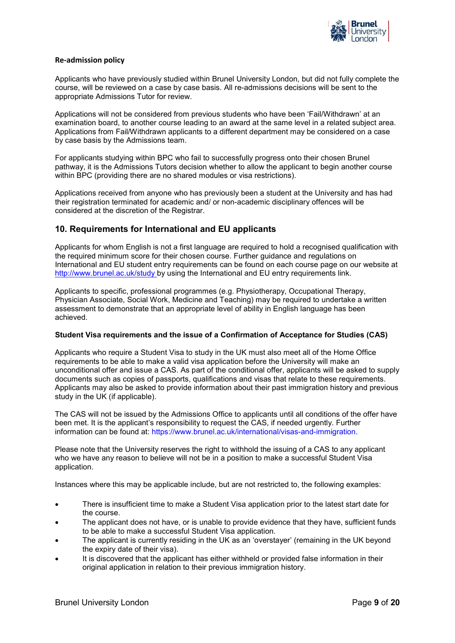

## **Re-admission policy**

Applicants who have previously studied within Brunel University London, but did not fully complete the course, will be reviewed on a case by case basis. All re-admissions decisions will be sent to the appropriate Admissions Tutor for review.

Applications will not be considered from previous students who have been 'Fail/Withdrawn' at an examination board, to another course leading to an award at the same level in a related subject area. Applications from Fail/Withdrawn applicants to a different department may be considered on a case by case basis by the Admissions team.

For applicants studying within BPC who fail to successfully progress onto their chosen Brunel pathway, it is the Admissions Tutors decision whether to allow the applicant to begin another course within BPC (providing there are no shared modules or visa restrictions).

Applications received from anyone who has previously been a student at the University and has had their registration terminated for academic and/ or non-academic disciplinary offences will be considered at the discretion of the Registrar.

# <span id="page-8-0"></span>**10. Requirements for International and EU applicants**

Applicants for whom English is not a first language are required to hold a recognised qualification with the required minimum score for their chosen course. Further guidance and regulations on International and EU student entry requirements can be found on each course page on our website at <http://www.brunel.ac.uk/study> by using the International and EU entry requirements link.

Applicants to specific, professional programmes (e.g. Physiotherapy, Occupational Therapy, Physician Associate, Social Work, Medicine and Teaching) may be required to undertake a written assessment to demonstrate that an appropriate level of ability in English language has been achieved.

#### **Student Visa requirements and the issue of a Confirmation of Acceptance for Studies (CAS)**

Applicants who require a Student Visa to study in the UK must also meet all of the Home Office requirements to be able to make a valid visa application before the University will make an unconditional offer and issue a CAS. As part of the conditional offer, applicants will be asked to supply documents such as copies of passports, qualifications and visas that relate to these requirements. Applicants may also be asked to provide information about their past immigration history and previous study in the UK (if applicable).

The CAS will not be issued by the Admissions Office to applicants until all conditions of the offer have been met. It is the applicant's responsibility to request the CAS, if needed urgently. Further information can be found at: https://www.brunel.ac.uk/international/visas-and-immigration.

Please note that the University reserves the right to withhold the issuing of a CAS to any applicant who we have any reason to believe will not be in a position to make a successful Student Visa application.

Instances where this may be applicable include, but are not restricted to, the following examples:

- There is insufficient time to make a Student Visa application prior to the latest start date for the course.
- The applicant does not have, or is unable to provide evidence that they have, sufficient funds to be able to make a successful Student Visa application.
- The applicant is currently residing in the UK as an 'overstayer' (remaining in the UK beyond the expiry date of their visa).
- It is discovered that the applicant has either withheld or provided false information in their original application in relation to their previous immigration history.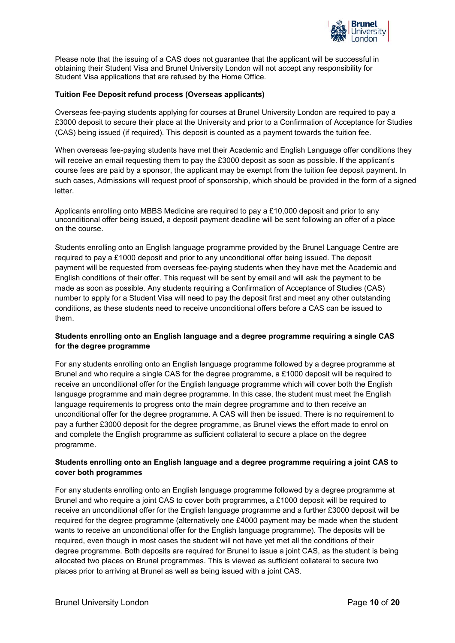

Please note that the issuing of a CAS does not guarantee that the applicant will be successful in obtaining their Student Visa and Brunel University London will not accept any responsibility for Student Visa applications that are refused by the Home Office.

## **Tuition Fee Deposit refund process (Overseas applicants)**

Overseas fee-paying students applying for courses at Brunel University London are required to pay a £3000 deposit to secure their place at the University and prior to a Confirmation of Acceptance for Studies (CAS) being issued (if required). This deposit is counted as a payment towards the tuition fee.

When overseas fee-paying students have met their Academic and English Language offer conditions they will receive an email requesting them to pay the £3000 deposit as soon as possible. If the applicant's course fees are paid by a sponsor, the applicant may be exempt from the tuition fee deposit payment. In such cases, Admissions will request proof of sponsorship, which should be provided in the form of a signed letter.

Applicants enrolling onto MBBS Medicine are required to pay a £10,000 deposit and prior to any unconditional offer being issued, a deposit payment deadline will be sent following an offer of a place on the course.

Students enrolling onto an English language programme provided by the Brunel Language Centre are required to pay a £1000 deposit and prior to any unconditional offer being issued. The deposit payment will be requested from overseas fee-paying students when they have met the Academic and English conditions of their offer. This request will be sent by email and will ask the payment to be made as soon as possible. Any students requiring a Confirmation of Acceptance of Studies (CAS) number to apply for a Student Visa will need to pay the deposit first and meet any other outstanding conditions, as these students need to receive unconditional offers before a CAS can be issued to them.

## **Students enrolling onto an English language and a degree programme requiring a single CAS for the degree programme**

For any students enrolling onto an English language programme followed by a degree programme at Brunel and who require a single CAS for the degree programme, a £1000 deposit will be required to receive an unconditional offer for the English language programme which will cover both the English language programme and main degree programme. In this case, the student must meet the English language requirements to progress onto the main degree programme and to then receive an unconditional offer for the degree programme. A CAS will then be issued. There is no requirement to pay a further £3000 deposit for the degree programme, as Brunel views the effort made to enrol on and complete the English programme as sufficient collateral to secure a place on the degree programme.

## **Students enrolling onto an English language and a degree programme requiring a joint CAS to cover both programmes**

For any students enrolling onto an English language programme followed by a degree programme at Brunel and who require a joint CAS to cover both programmes, a £1000 deposit will be required to receive an unconditional offer for the English language programme and a further £3000 deposit will be required for the degree programme (alternatively one £4000 payment may be made when the student wants to receive an unconditional offer for the English language programme). The deposits will be required, even though in most cases the student will not have yet met all the conditions of their degree programme. Both deposits are required for Brunel to issue a joint CAS, as the student is being allocated two places on Brunel programmes. This is viewed as sufficient collateral to secure two places prior to arriving at Brunel as well as being issued with a joint CAS.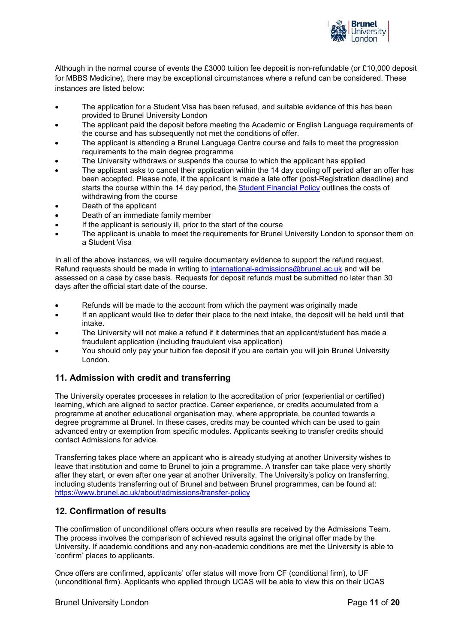

Although in the normal course of events the £3000 tuition fee deposit is non-refundable (or £10,000 deposit for MBBS Medicine), there may be exceptional circumstances where a refund can be considered. These instances are listed below:

- The application for a Student Visa has been refused, and suitable evidence of this has been provided to Brunel University London
- The applicant paid the deposit before meeting the Academic or English Language requirements of the course and has subsequently not met the conditions of offer.
- The applicant is attending a Brunel Language Centre course and fails to meet the progression requirements to the main degree programme
- The University withdraws or suspends the course to which the applicant has applied
- The applicant asks to cancel their application within the 14 day cooling off period after an offer has been accepted. Please note, if the applicant is made a late offer (post-Registration deadline) and starts the course within the 14 day period, the [Student Financial Policy](https://www.brunel.ac.uk/about/administration/documents-and-policies) outlines the costs of withdrawing from the course
- Death of the applicant
- Death of an immediate family member
- If the applicant is seriously ill, prior to the start of the course
- The applicant is unable to meet the requirements for Brunel University London to sponsor them on a Student Visa

In all of the above instances, we will require documentary evidence to support the refund request. Refund requests should be made in writing to [international-admissions@brunel.ac.uk](mailto:international-admissions@brunel.ac.uk) and will be assessed on a case by case basis. Requests for deposit refunds must be submitted no later than 30 days after the official start date of the course.

- Refunds will be made to the account from which the payment was originally made
- If an applicant would like to defer their place to the next intake, the deposit will be held until that intake.
- The University will not make a refund if it determines that an applicant/student has made a fraudulent application (including fraudulent visa application)
- You should only pay your tuition fee deposit if you are certain you will join Brunel University London.

# <span id="page-10-0"></span>**11. Admission with credit and transferring**

The University operates processes in relation to the accreditation of prior (experiential or certified) learning, which are aligned to sector practice. Career experience, or credits accumulated from a programme at another educational organisation may, where appropriate, be counted towards a degree programme at Brunel. In these cases, credits may be counted which can be used to gain advanced entry or exemption from specific modules. Applicants seeking to transfer credits should contact Admissions for advice.

Transferring takes place where an applicant who is already studying at another University wishes to leave that institution and come to Brunel to join a programme. A transfer can take place very shortly after they start, or even after one year at another University. The University's policy on transferring, including students transferring out of Brunel and between Brunel programmes, can be found at: <https://www.brunel.ac.uk/about/admissions/transfer-policy>

# <span id="page-10-1"></span>**12. Confirmation of results**

The confirmation of unconditional offers occurs when results are received by the Admissions Team. The process involves the comparison of achieved results against the original offer made by the University. If academic conditions and any non-academic conditions are met the University is able to 'confirm' places to applicants.

Once offers are confirmed, applicants' offer status will move from CF (conditional firm), to UF (unconditional firm). Applicants who applied through UCAS will be able to view this on their UCAS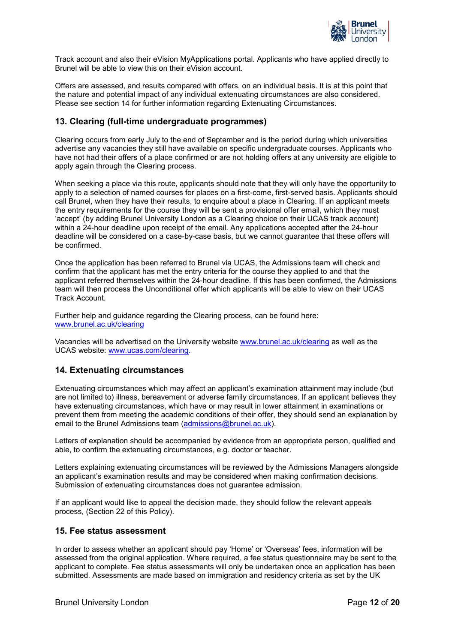

Track account and also their eVision MyApplications portal. Applicants who have applied directly to Brunel will be able to view this on their eVision account.

Offers are assessed, and results compared with offers, on an individual basis. It is at this point that the nature and potential impact of any individual extenuating circumstances are also considered. Please see section 14 for further information regarding Extenuating Circumstances.

## <span id="page-11-0"></span>**13. Clearing (full-time undergraduate programmes)**

Clearing occurs from early July to the end of September and is the period during which universities advertise any vacancies they still have available on specific undergraduate courses. Applicants who have not had their offers of a place confirmed or are not holding offers at any university are eligible to apply again through the Clearing process.

When seeking a place via this route, applicants should note that they will only have the opportunity to apply to a selection of named courses for places on a first-come, first-served basis. Applicants should call Brunel, when they have their results, to enquire about a place in Clearing. If an applicant meets the entry requirements for the course they will be sent a provisional offer email, which they must 'accept' (by adding Brunel University London as a Clearing choice on their UCAS track account) within a 24-hour deadline upon receipt of the email. Any applications accepted after the 24-hour deadline will be considered on a case-by-case basis, but we cannot guarantee that these offers will be confirmed.

Once the application has been referred to Brunel via UCAS, the Admissions team will check and confirm that the applicant has met the entry criteria for the course they applied to and that the applicant referred themselves within the 24-hour deadline. If this has been confirmed, the Admissions team will then process the Unconditional offer which applicants will be able to view on their UCAS Track Account.

Further help and guidance regarding the Clearing process, can be found here: [www.brunel.ac.uk/clearing](http://www.brunel.ac.uk/clearing)

Vacancies will be advertised on the University website [www.brunel.ac.uk/clearing](http://www.brunel.ac.uk/clearing) as well as the UCAS website: [www.ucas.com/clearing.](http://www.ucas.com/clearing)

# <span id="page-11-1"></span>**14. Extenuating circumstances**

Extenuating circumstances which may affect an applicant's examination attainment may include (but are not limited to) illness, bereavement or adverse family circumstances. If an applicant believes they have extenuating circumstances, which have or may result in lower attainment in examinations or prevent them from meeting the academic conditions of their offer, they should send an explanation by email to the Brunel Admissions team [\(admissions@brunel.ac.uk\)](mailto:admissions@brunel.ac.uk).

Letters of explanation should be accompanied by evidence from an appropriate person, qualified and able, to confirm the extenuating circumstances, e.g. doctor or teacher.

Letters explaining extenuating circumstances will be reviewed by the Admissions Managers alongside an applicant's examination results and may be considered when making confirmation decisions. Submission of extenuating circumstances does not guarantee admission.

If an applicant would like to appeal the decision made, they should follow the relevant appeals process, (Section 22 of this Policy).

## <span id="page-11-2"></span>**15. Fee status assessment**

In order to assess whether an applicant should pay 'Home' or 'Overseas' fees, information will be assessed from the original application. Where required, a fee status questionnaire may be sent to the applicant to complete. Fee status assessments will only be undertaken once an application has been submitted. Assessments are made based on immigration and residency criteria as set by the UK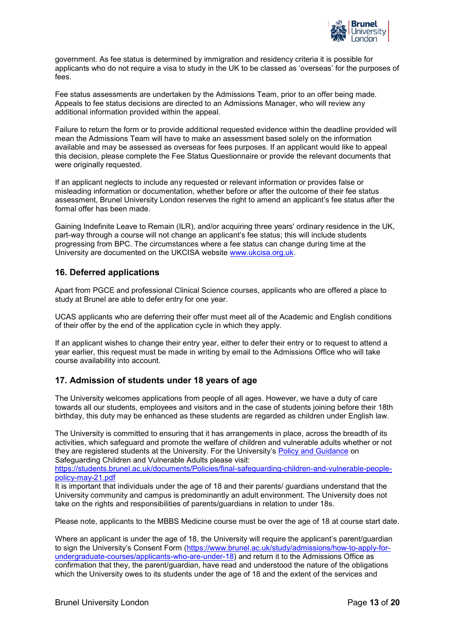

government. As fee status is determined by immigration and residency criteria it is possible for applicants who do not require a visa to study in the UK to be classed as 'overseas' for the purposes of fees.

Fee status assessments are undertaken by the Admissions Team, prior to an offer being made. Appeals to fee status decisions are directed to an Admissions Manager, who will review any additional information provided within the appeal.

Failure to return the form or to provide additional requested evidence within the deadline provided will mean the Admissions Team will have to make an assessment based solely on the information available and may be assessed as overseas for fees purposes. If an applicant would like to appeal this decision, please complete the Fee Status Questionnaire or provide the relevant documents that were originally requested.

If an applicant neglects to include any requested or relevant information or provides false or misleading information or documentation, whether before or after the outcome of their fee status assessment, Brunel University London reserves the right to amend an applicant's fee status after the formal offer has been made.

Gaining Indefinite Leave to Remain (ILR), and/or acquiring three years' ordinary residence in the UK, part-way through a course will not change an applicant's fee status; this will include students progressing from BPC. The circumstances where a fee status can change during time at the University are documented on the UKCISA website [www.ukcisa.org.uk.](http://www.ukcisa.org.uk/)

# <span id="page-12-0"></span>**16. Deferred applications**

Apart from PGCE and professional Clinical Science courses, applicants who are offered a place to study at Brunel are able to defer entry for one year.

UCAS applicants who are deferring their offer must meet all of the Academic and English conditions of their offer by the end of the application cycle in which they apply.

If an applicant wishes to change their entry year, either to defer their entry or to request to attend a year earlier, this request must be made in writing by email to the Admissions Office who will take course availability into account.

# <span id="page-12-1"></span>**17. Admission of students under 18 years of age**

The University welcomes applications from people of all ages. However, we have a duty of care towards all our students, employees and visitors and in the case of students joining before their 18th birthday, this duty may be enhanced as these students are regarded as children under English law.

The University is committed to ensuring that it has arrangements in place, across the breadth of its activities, which safeguard and promote the welfare of children and vulnerable adults whether or not they are registered students at the University. For the University's [Policy and Guidance](https://www.brunel.ac.uk/about/administration/documents-and-policies) on Safeguarding Children and Vulnerable Adults please visit:

[https://students.brunel.ac.uk/documents/Policies/final-safeguarding-children-and-vulnerable-people](https://students.brunel.ac.uk/documents/Policies/final-safeguarding-children-and-vulnerable-people-policy-may-21.pdf)[policy-may-21.pdf](https://students.brunel.ac.uk/documents/Policies/final-safeguarding-children-and-vulnerable-people-policy-may-21.pdf)

It is important that individuals under the age of 18 and their parents/ guardians understand that the University community and campus is predominantly an adult environment. The University does not take on the rights and responsibilities of parents/guardians in relation to under 18s.

Please note, applicants to the MBBS Medicine course must be over the age of 18 at course start date.

Where an applicant is under the age of 18, the University will require the applicant's parent/guardian to sign the University's Consent Form [\(https://www.brunel.ac.uk/study/admissions/how-to-apply-for](https://www.brunel.ac.uk/study/admissions/how-to-apply-for-undergraduate-courses/applicants-who-are-under-18)[undergraduate-courses/applicants-who-are-under-18\)](https://www.brunel.ac.uk/study/admissions/how-to-apply-for-undergraduate-courses/applicants-who-are-under-18) and return it to the Admissions Office as confirmation that they, the parent/guardian, have read and understood the nature of the obligations which the University owes to its students under the age of 18 and the extent of the services and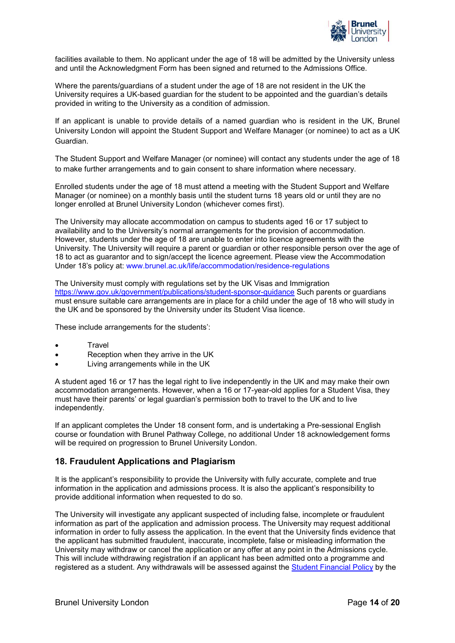

facilities available to them. No applicant under the age of 18 will be admitted by the University unless and until the Acknowledgment Form has been signed and returned to the Admissions Office.

Where the parents/guardians of a student under the age of 18 are not resident in the UK the University requires a UK-based guardian for the student to be appointed and the guardian's details provided in writing to the University as a condition of admission.

If an applicant is unable to provide details of a named guardian who is resident in the UK, Brunel University London will appoint the Student Support and Welfare Manager (or nominee) to act as a UK Guardian.

The Student Support and Welfare Manager (or nominee) will contact any students under the age of 18 to make further arrangements and to gain consent to share information where necessary.

Enrolled students under the age of 18 must attend a meeting with the Student Support and Welfare Manager (or nominee) on a monthly basis until the student turns 18 years old or until they are no longer enrolled at Brunel University London (whichever comes first).

The University may allocate accommodation on campus to students aged 16 or 17 subject to availability and to the University's normal arrangements for the provision of accommodation. However, students under the age of 18 are unable to enter into licence agreements with the University. The University will require a parent or guardian or other responsible person over the age of 18 to act as guarantor and to sign/accept the licence agreement. Please view the Accommodation Under 18's policy at: www.brunel.ac.uk/life/accommodation/residence-regulations

The University must comply with regulations set by the UK Visas and Immigration <https://www.gov.uk/government/publications/student-sponsor-guidance> Such parents or guardians must ensure suitable care arrangements are in place for a child under the age of 18 who will study in the UK and be sponsored by the University under its Student Visa licence.

These include arrangements for the students':

- **Travel**
- Reception when they arrive in the UK
- Living arrangements while in the UK

A student aged 16 or 17 has the legal right to live independently in the UK and may make their own accommodation arrangements. However, when a 16 or 17-year-old applies for a Student Visa, they must have their parents' or legal guardian's permission both to travel to the UK and to live independently.

If an applicant completes the Under 18 consent form, and is undertaking a Pre-sessional English course or foundation with Brunel Pathway College, no additional Under 18 acknowledgement forms will be required on progression to Brunel University London.

# <span id="page-13-0"></span>**18. Fraudulent Applications and Plagiarism**

It is the applicant's responsibility to provide the University with fully accurate, complete and true information in the application and admissions process. It is also the applicant's responsibility to provide additional information when requested to do so.

The University will investigate any applicant suspected of including false, incomplete or fraudulent information as part of the application and admission process. The University may request additional information in order to fully assess the application. In the event that the University finds evidence that the applicant has submitted fraudulent, inaccurate, incomplete, false or misleading information the University may withdraw or cancel the application or any offer at any point in the Admissions cycle. This will include withdrawing registration if an applicant has been admitted onto a programme and registered as a student. Any withdrawals will be assessed against the [Student Financial Policy](https://www.brunel.ac.uk/about/administration/documents-and-policies) by the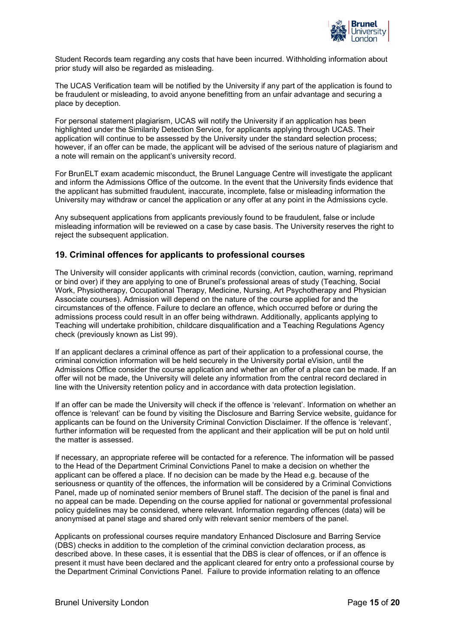

Student Records team regarding any costs that have been incurred. Withholding information about prior study will also be regarded as misleading.

The UCAS Verification team will be notified by the University if any part of the application is found to be fraudulent or misleading, to avoid anyone benefitting from an unfair advantage and securing a place by deception.

For personal statement plagiarism, UCAS will notify the University if an application has been highlighted under the Similarity Detection Service, for applicants applying through UCAS. Their application will continue to be assessed by the University under the standard selection process; however, if an offer can be made, the applicant will be advised of the serious nature of plagiarism and a note will remain on the applicant's university record.

For BrunELT exam academic misconduct, the Brunel Language Centre will investigate the applicant and inform the Admissions Office of the outcome. In the event that the University finds evidence that the applicant has submitted fraudulent, inaccurate, incomplete, false or misleading information the University may withdraw or cancel the application or any offer at any point in the Admissions cycle.

Any subsequent applications from applicants previously found to be fraudulent, false or include misleading information will be reviewed on a case by case basis. The University reserves the right to reject the subsequent application.

# <span id="page-14-0"></span>**19. Criminal offences for applicants to professional courses**

The University will consider applicants with criminal records (conviction, caution, warning, reprimand or bind over) if they are applying to one of Brunel's professional areas of study (Teaching, Social Work, Physiotherapy, Occupational Therapy, Medicine, Nursing, Art Psychotherapy and Physician Associate courses). Admission will depend on the nature of the course applied for and the circumstances of the offence. Failure to declare an offence, which occurred before or during the admissions process could result in an offer being withdrawn. Additionally, applicants applying to Teaching will undertake prohibition, childcare disqualification and a Teaching Regulations Agency check (previously known as List 99).

If an applicant declares a criminal offence as part of their application to a professional course, the criminal conviction information will be held securely in the University portal eVision, until the Admissions Office consider the course application and whether an offer of a place can be made. If an offer will not be made, the University will delete any information from the central record declared in line with the University retention policy and in accordance with data protection legislation.

If an offer can be made the University will check if the offence is 'relevant'. Information on whether an offence is 'relevant' can be found by visiting the Disclosure and Barring Service website, guidance for applicants can be found on the University Criminal Conviction Disclaimer. If the offence is 'relevant', further information will be requested from the applicant and their application will be put on hold until the matter is assessed.

If necessary, an appropriate referee will be contacted for a reference. The information will be passed to the Head of the Department Criminal Convictions Panel to make a decision on whether the applicant can be offered a place. If no decision can be made by the Head e.g. because of the seriousness or quantity of the offences, the information will be considered by a Criminal Convictions Panel, made up of nominated senior members of Brunel staff. The decision of the panel is final and no appeal can be made. Depending on the course applied for national or governmental professional policy guidelines may be considered, where relevant. Information regarding offences (data) will be anonymised at panel stage and shared only with relevant senior members of the panel.

Applicants on professional courses require mandatory Enhanced Disclosure and Barring Service (DBS) checks in addition to the completion of the criminal conviction declaration process, as described above. In these cases, it is essential that the DBS is clear of offences, or if an offence is present it must have been declared and the applicant cleared for entry onto a professional course by the Department Criminal Convictions Panel. Failure to provide information relating to an offence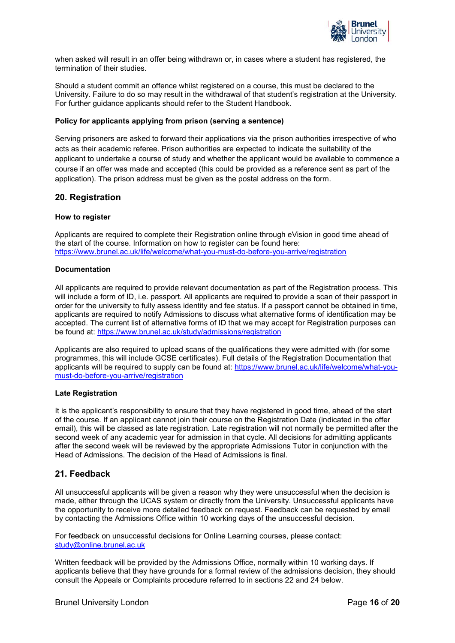

when asked will result in an offer being withdrawn or, in cases where a student has registered, the termination of their studies.

Should a student commit an offence whilst registered on a course, this must be declared to the University. Failure to do so may result in the withdrawal of that student's registration at the University. For further guidance applicants should refer to the Student Handbook.

## **Policy for applicants applying from prison (serving a sentence)**

Serving prisoners are asked to forward their applications via the prison authorities irrespective of who acts as their academic referee. Prison authorities are expected to indicate the suitability of the applicant to undertake a course of study and whether the applicant would be available to commence a course if an offer was made and accepted (this could be provided as a reference sent as part of the application). The prison address must be given as the postal address on the form.

## <span id="page-15-0"></span>**20. Registration**

#### **How to register**

Applicants are required to complete their Registration online through eVision in good time ahead of the start of the course. Information on how to register can be found here: <https://www.brunel.ac.uk/life/welcome/what-you-must-do-before-you-arrive/registration>

#### **Documentation**

All applicants are required to provide relevant documentation as part of the Registration process. This will include a form of ID, i.e. passport. All applicants are required to provide a scan of their passport in order for the university to fully assess identity and fee status. If a passport cannot be obtained in time, applicants are required to notify Admissions to discuss what alternative forms of identification may be accepted. The current list of alternative forms of ID that we may accept for Registration purposes can be found at:<https://www.brunel.ac.uk/study/admissions/registration>

Applicants are also required to upload scans of the qualifications they were admitted with (for some programmes, this will include GCSE certificates). Full details of the Registration Documentation that applicants will be required to supply can be found at: [https://www.brunel.ac.uk/life/welcome/what-you](https://www.brunel.ac.uk/life/welcome/what-you-must-do-before-you-arrive/registration)[must-do-before-you-arrive/registration](https://www.brunel.ac.uk/life/welcome/what-you-must-do-before-you-arrive/registration)

#### **Late Registration**

It is the applicant's responsibility to ensure that they have registered in good time, ahead of the start of the course. If an applicant cannot join their course on the Registration Date (indicated in the offer email), this will be classed as late registration. Late registration will not normally be permitted after the second week of any academic year for admission in that cycle. All decisions for admitting applicants after the second week will be reviewed by the appropriate Admissions Tutor in conjunction with the Head of Admissions. The decision of the Head of Admissions is final.

# <span id="page-15-1"></span>**21. Feedback**

All unsuccessful applicants will be given a reason why they were unsuccessful when the decision is made, either through the UCAS system or directly from the University. Unsuccessful applicants have the opportunity to receive more detailed feedback on request. Feedback can be requested by email by contacting the Admissions Office within 10 working days of the unsuccessful decision.

For feedback on unsuccessful decisions for Online Learning courses, please contact: [study@online.brunel.ac.uk](mailto:study@online.brunel.ac.uk)

Written feedback will be provided by the Admissions Office, normally within 10 working days. If applicants believe that they have grounds for a formal review of the admissions decision, they should consult the Appeals or Complaints procedure referred to in sections 22 and 24 below.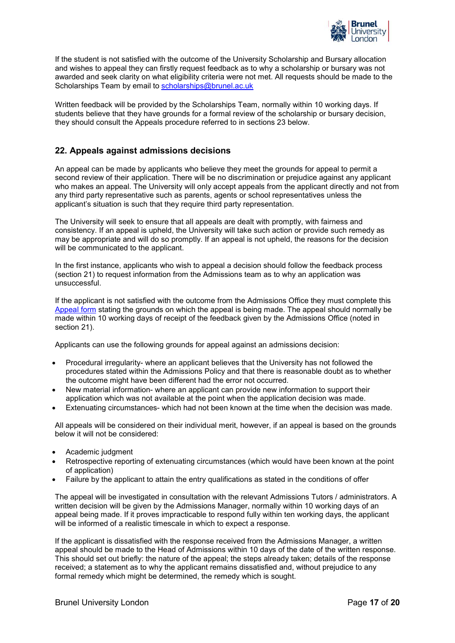

If the student is not satisfied with the outcome of the University Scholarship and Bursary allocation and wishes to appeal they can firstly request feedback as to why a scholarship or bursary was not awarded and seek clarity on what eligibility criteria were not met. All requests should be made to the Scholarships Team by email to [scholarships@brunel.ac.uk](mailto:scholarships@brunel.ac.uk)

Written feedback will be provided by the Scholarships Team, normally within 10 working days. If students believe that they have grounds for a formal review of the scholarship or bursary decision, they should consult the Appeals procedure referred to in sections 23 below.

# <span id="page-16-0"></span>**22. Appeals against admissions decisions**

An appeal can be made by applicants who believe they meet the grounds for appeal to permit a second review of their application. There will be no discrimination or prejudice against any applicant who makes an appeal. The University will only accept appeals from the applicant directly and not from any third party representative such as parents, agents or school representatives unless the applicant's situation is such that they require third party representation.

The University will seek to ensure that all appeals are dealt with promptly, with fairness and consistency. If an appeal is upheld, the University will take such action or provide such remedy as may be appropriate and will do so promptly. If an appeal is not upheld, the reasons for the decision will be communicated to the applicant.

In the first instance, applicants who wish to appeal a decision should follow the feedback process (section 21) to request information from the Admissions team as to why an application was unsuccessful.

If the applicant is not satisfied with the outcome from the Admissions Office they must complete this [Appeal form](https://forms.office.com/Pages/ResponsePage.aspx?id=sZetTDVZA0GoZletmKFRfhE9vYa8d2dDsbZhUCm9KGVUOVdFODRDOUsxWVBTOFA1OFFLM1cyTUk5VS4u) stating the grounds on which the appeal is being made. The appeal should normally be made within 10 working days of receipt of the feedback given by the Admissions Office (noted in section 21).

Applicants can use the following grounds for appeal against an admissions decision:

- Procedural irregularity- where an applicant believes that the University has not followed the procedures stated within the Admissions Policy and that there is reasonable doubt as to whether the outcome might have been different had the error not occurred.
- New material information- where an applicant can provide new information to support their application which was not available at the point when the application decision was made.
- Extenuating circumstances- which had not been known at the time when the decision was made.

All appeals will be considered on their individual merit, however, if an appeal is based on the grounds below it will not be considered:

- Academic judgment
- Retrospective reporting of extenuating circumstances (which would have been known at the point of application)
- Failure by the applicant to attain the entry qualifications as stated in the conditions of offer

The appeal will be investigated in consultation with the relevant Admissions Tutors / administrators. A written decision will be given by the Admissions Manager, normally within 10 working days of an appeal being made. If it proves impracticable to respond fully within ten working days, the applicant will be informed of a realistic timescale in which to expect a response.

If the applicant is dissatisfied with the response received from the Admissions Manager, a written appeal should be made to the Head of Admissions within 10 days of the date of the written response. This should set out briefly: the nature of the appeal; the steps already taken; details of the response received; a statement as to why the applicant remains dissatisfied and, without prejudice to any formal remedy which might be determined, the remedy which is sought.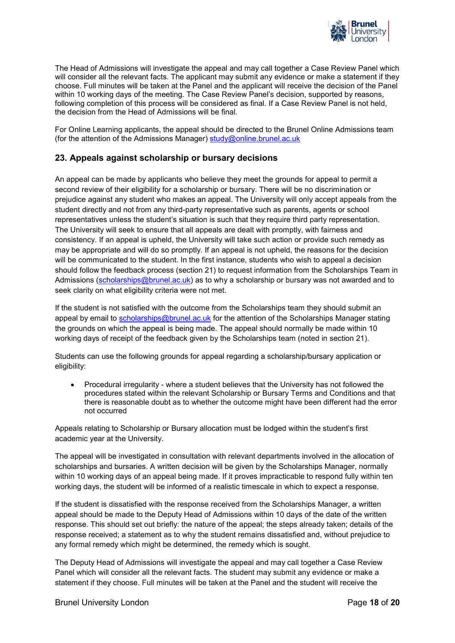

The Head of Admissions will investigate the appeal and may call together a Case Review Panel which will consider all the relevant facts. The applicant may submit any evidence or make a statement if they choose. Full minutes will be taken at the Panel and the applicant will receive the decision of the Panel within 10 working days of the meeting. The Case Review Panel's decision, supported by reasons, following completion of this process will be considered as final. If a Case Review Panel is not held, the decision from the Head of Admissions will be final.

For Online Learning applicants, the appeal should be directed to the Brunel Online Admissions team (for the attention of the Admissions Manager)  $study@online.brunel.ac.uk$ 

# <span id="page-17-0"></span>**23. Appeals against scholarship or bursary decisions**

An appeal can be made by applicants who believe they meet the grounds for appeal to permit a second review of their eligibility for a scholarship or bursary. There will be no discrimination or prejudice against any student who makes an appeal. The University will only accept appeals from the student directly and not from any third-party representative such as parents, agents or school representatives unless the student's situation is such that they require third party representation. The University will seek to ensure that all appeals are dealt with promptly, with fairness and consistency. If an appeal is upheld, the University will take such action or provide such remedy as may be appropriate and will do so promptly. If an appeal is not upheld, the reasons for the decision will be communicated to the student. In the first instance, students who wish to appeal a decision should follow the feedback process (section 21) to request information from the Scholarships Team in Admissions [\(scholarships@brunel.ac.uk\)](mailto:scholarships@brunel.ac.uk) as to why a scholarship or bursary was not awarded and to seek clarity on what eligibility criteria were not met.

If the student is not satisfied with the outcome from the Scholarships team they should submit an appeal by email to [scholarships@brunel.ac.uk](mailto:scholarships@brunel.ac.uk) for the attention of the Scholarships Manager stating the grounds on which the appeal is being made. The appeal should normally be made within 10 working days of receipt of the feedback given by the Scholarships team (noted in section 21).

Students can use the following grounds for appeal regarding a scholarship/bursary application or eligibility:

• Procedural irregularity - where a student believes that the University has not followed the procedures stated within the relevant Scholarship or Bursary Terms and Conditions and that there is reasonable doubt as to whether the outcome might have been different had the error not occurred

Appeals relating to Scholarship or Bursary allocation must be lodged within the student's first academic year at the University.

The appeal will be investigated in consultation with relevant departments involved in the allocation of scholarships and bursaries. A written decision will be given by the Scholarships Manager, normally within 10 working days of an appeal being made. If it proves impracticable to respond fully within ten working days, the student will be informed of a realistic timescale in which to expect a response.

If the student is dissatisfied with the response received from the Scholarships Manager, a written appeal should be made to the Deputy Head of Admissions within 10 days of the date of the written response. This should set out briefly: the nature of the appeal; the steps already taken; details of the response received; a statement as to why the student remains dissatisfied and, without prejudice to any formal remedy which might be determined, the remedy which is sought.

The Deputy Head of Admissions will investigate the appeal and may call together a Case Review Panel which will consider all the relevant facts. The student may submit any evidence or make a statement if they choose. Full minutes will be taken at the Panel and the student will receive the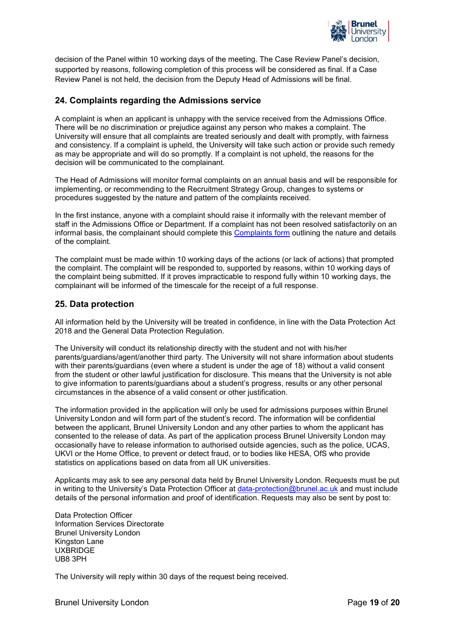

decision of the Panel within 10 working days of the meeting. The Case Review Panel's decision, supported by reasons, following completion of this process will be considered as final. If a Case Review Panel is not held, the decision from the Deputy Head of Admissions will be final.

# <span id="page-18-0"></span>**24. Complaints regarding the Admissions service**

A complaint is when an applicant is unhappy with the service received from the Admissions Office. There will be no discrimination or prejudice against any person who makes a complaint. The University will ensure that all complaints are treated seriously and dealt with promptly, with fairness and consistency. If a complaint is upheld, the University will take such action or provide such remedy as may be appropriate and will do so promptly. If a complaint is not upheld, the reasons for the decision will be communicated to the complainant.

The Head of Admissions will monitor formal complaints on an annual basis and will be responsible for implementing, or recommending to the Recruitment Strategy Group, changes to systems or procedures suggested by the nature and pattern of the complaints received.

In the first instance, anyone with a complaint should raise it informally with the relevant member of staff in the Admissions Office or Department. If a complaint has not been resolved satisfactorily on an informal basis, the complainant should complete this [Complaints](https://forms.office.com/Pages/ResponsePage.aspx?id=sZetTDVZA0GoZletmKFRfhE9vYa8d2dDsbZhUCm9KGVUOVdFODRDOUsxWVBTOFA1OFFLM1cyTUk5VS4u) form outlining the nature and details of the complaint.

The complaint must be made within 10 working days of the actions (or lack of actions) that prompted the complaint. The complaint will be responded to, supported by reasons, within 10 working days of the complaint being submitted. If it proves impracticable to respond fully within 10 working days, the complainant will be informed of the timescale for the receipt of a full response.

## <span id="page-18-1"></span>**25. Data protection**

All information held by the University will be treated in confidence, in line with the Data Protection Act 2018 and the General Data Protection Regulation.

The University will conduct its relationship directly with the student and not with his/her parents/guardians/agent/another third party. The University will not share information about students with their parents/guardians (even where a student is under the age of 18) without a valid consent from the student or other lawful justification for disclosure. This means that the University is not able to give information to parents/guardians about a student's progress, results or any other personal circumstances in the absence of a valid consent or other justification.

The information provided in the application will only be used for admissions purposes within Brunel University London and will form part of the student's record. The information will be confidential between the applicant, Brunel University London and any other parties to whom the applicant has consented to the release of data. As part of the application process Brunel University London may occasionally have to release information to authorised outside agencies, such as the police, UCAS, UKVI or the Home Office, to prevent or detect fraud, or to bodies like HESA, OfS who provide statistics on applications based on data from all UK universities.

Applicants may ask to see any personal data held by Brunel University London. Requests must be put in writing to the University's Data Protection Officer at [data-protection@brunel.ac.uk](mailto:data-protection@brunel.ac.uk) and must include details of the personal information and proof of identification. Requests may also be sent by post to:

Data Protection Officer Information Services Directorate Brunel University London Kingston Lane UXBRIDGE UB8 3PH

The University will reply within 30 days of the request being received.